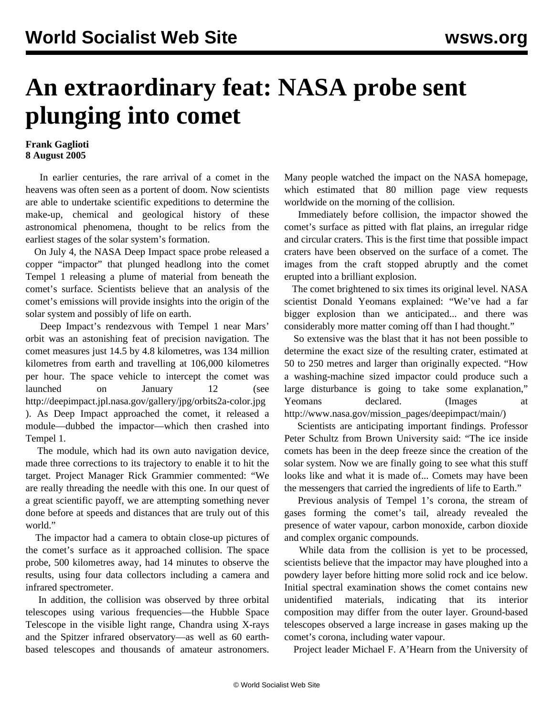## **An extraordinary feat: NASA probe sent plunging into comet**

## **Frank Gaglioti 8 August 2005**

 In earlier centuries, the rare arrival of a comet in the heavens was often seen as a portent of doom. Now scientists are able to undertake scientific expeditions to determine the make-up, chemical and geological history of these astronomical phenomena, thought to be relics from the earliest stages of the solar system's formation.

 On July 4, the NASA Deep Impact space probe released a copper "impactor" that plunged headlong into the comet Tempel 1 releasing a plume of material from beneath the comet's surface. Scientists believe that an analysis of the comet's emissions will provide insights into the origin of the solar system and possibly of life on earth.

 Deep Impact's rendezvous with Tempel 1 near Mars' orbit was an astonishing feat of precision navigation. The comet measures just 14.5 by 4.8 kilometres, was 134 million kilometres from earth and travelling at 106,000 kilometres per hour. The space vehicle to intercept the comet was launched on January 12 (see <http://deepimpact.jpl.nasa.gov/gallery/jpg/orbits2a-color.jpg> ). As Deep Impact approached the comet, it released a module—dubbed the impactor—which then crashed into Tempel 1.

 The module, which had its own auto navigation device, made three corrections to its trajectory to enable it to hit the target. Project Manager Rick Grammier commented: "We are really threading the needle with this one. In our quest of a great scientific payoff, we are attempting something never done before at speeds and distances that are truly out of this world."

 The impactor had a camera to obtain close-up pictures of the comet's surface as it approached collision. The space probe, 500 kilometres away, had 14 minutes to observe the results, using four data collectors including a camera and infrared spectrometer.

 In addition, the collision was observed by three orbital telescopes using various frequencies—the Hubble Space Telescope in the visible light range, Chandra using X-rays and the Spitzer infrared observatory—as well as 60 earthbased telescopes and thousands of amateur astronomers.

Many people watched the impact on the NASA homepage, which estimated that 80 million page view requests worldwide on the morning of the collision.

 Immediately before collision, the impactor showed the comet's surface as pitted with flat plains, an irregular ridge and circular craters. This is the first time that possible impact craters have been observed on the surface of a comet. The images from the craft stopped abruptly and the comet erupted into a brilliant explosion.

 The comet brightened to six times its original level. NASA scientist Donald Yeomans explained: "We've had a far bigger explosion than we anticipated... and there was considerably more matter coming off than I had thought."

 So extensive was the blast that it has not been possible to determine the exact size of the resulting crater, estimated at 50 to 250 metres and larger than originally expected. "How a washing-machine sized impactor could produce such a large disturbance is going to take some explanation," Yeomans declared. (Images at [http://www.nasa.gov/mission\\_pages/deepimpact/main/\)](http://www.nasa.gov/mission_pages/deepimpact/main/)

 Scientists are anticipating important findings. Professor Peter Schultz from Brown University said: "The ice inside comets has been in the deep freeze since the creation of the solar system. Now we are finally going to see what this stuff looks like and what it is made of... Comets may have been the messengers that carried the ingredients of life to Earth."

 Previous analysis of Tempel 1's corona, the stream of gases forming the comet's tail, already revealed the presence of water vapour, carbon monoxide, carbon dioxide and complex organic compounds.

 While data from the collision is yet to be processed, scientists believe that the impactor may have ploughed into a powdery layer before hitting more solid rock and ice below. Initial spectral examination shows the comet contains new unidentified materials, indicating that its interior composition may differ from the outer layer. Ground-based telescopes observed a large increase in gases making up the comet's corona, including water vapour.

Project leader Michael F. A'Hearn from the University of